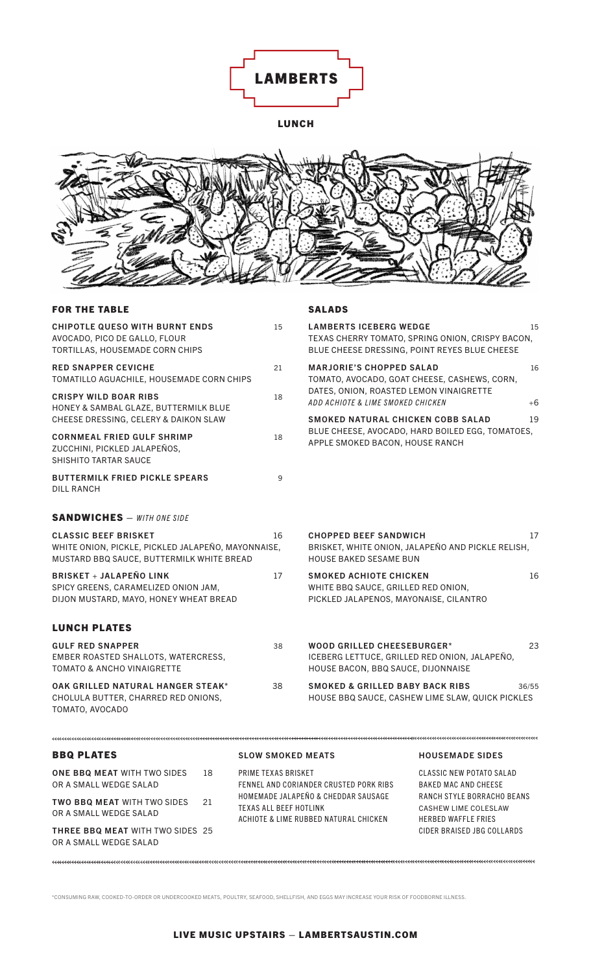

LUNCH



| <b>FOR THE TABLE</b>                                                                                                                                                                                                                                                                    |    |                                                                                                                                 | <b>SALADS</b>                                                                                                            |                                                                                                   |          |
|-----------------------------------------------------------------------------------------------------------------------------------------------------------------------------------------------------------------------------------------------------------------------------------------|----|---------------------------------------------------------------------------------------------------------------------------------|--------------------------------------------------------------------------------------------------------------------------|---------------------------------------------------------------------------------------------------|----------|
| <b>CHIPOTLE QUESO WITH BURNT ENDS</b><br>AVOCADO, PICO DE GALLO, FLOUR<br>TORTILLAS, HOUSEMADE CORN CHIPS                                                                                                                                                                               |    | 15                                                                                                                              | <b>LAMBERTS ICEBERG WEDGE</b>                                                                                            | TEXAS CHERRY TOMATO, SPRING ONION, CRISPY BACON,<br>BLUE CHEESE DRESSING, POINT REYES BLUE CHEESE | 15       |
| <b>RED SNAPPER CEVICHE</b><br>TOMATILLO AGUACHILE, HOUSEMADE CORN CHIPS<br><b>CRISPY WILD BOAR RIBS</b><br>HONEY & SAMBAL GLAZE, BUTTERMILK BLUE<br>CHEESE DRESSING, CELERY & DAIKON SLAW<br><b>CORNMEAL FRIED GULF SHRIMP</b><br>ZUCCHINI, PICKLED JALAPEÑOS,<br>SHISHITO TARTAR SAUCE |    | 21                                                                                                                              | <b>MARJORIE'S CHOPPED SALAD</b>                                                                                          | TOMATO, AVOCADO, GOAT CHEESE, CASHEWS, CORN,                                                      | 16       |
|                                                                                                                                                                                                                                                                                         |    | 18                                                                                                                              | DATES, ONION, ROASTED LEMON VINAIGRETTE<br>ADD ACHIOTE & LIME SMOKED CHICKEN<br>SMOKED NATURAL CHICKEN COBB SALAD        |                                                                                                   | +6<br>19 |
|                                                                                                                                                                                                                                                                                         |    | 18                                                                                                                              | BLUE CHEESE, AVOCADO, HARD BOILED EGG, TOMATOES,<br>APPLE SMOKED BACON, HOUSE RANCH                                      |                                                                                                   |          |
| <b>BUTTERMILK FRIED PICKLE SPEARS</b><br>DILL RANCH                                                                                                                                                                                                                                     |    | 9                                                                                                                               |                                                                                                                          |                                                                                                   |          |
| <b>SANDWICHES</b> - WITH ONE SIDE                                                                                                                                                                                                                                                       |    |                                                                                                                                 |                                                                                                                          |                                                                                                   |          |
| <b>CLASSIC BEEF BRISKET</b><br>16<br>WHITE ONION, PICKLE, PICKLED JALAPEÑO, MAYONNAISE,<br>MUSTARD BBQ SAUCE, BUTTERMILK WHITE BREAD                                                                                                                                                    |    |                                                                                                                                 | <b>CHOPPED BEEF SANDWICH</b><br>17<br>BRISKET, WHITE ONION, JALAPEÑO AND PICKLE RELISH,<br><b>HOUSE BAKED SESAME BUN</b> |                                                                                                   |          |
| <b>BRISKET + JALAPEÑO LINK</b><br>SPICY GREENS, CARAMELIZED ONION JAM,<br>DIJON MUSTARD, MAYO, HONEY WHEAT BREAD                                                                                                                                                                        | 17 | <b>SMOKED ACHIOTE CHICKEN</b><br>WHITE BBQ SAUCE, GRILLED RED ONION,<br>PICKLED JALAPENOS, MAYONAISE, CILANTRO                  |                                                                                                                          | 16                                                                                                |          |
| <b>LUNCH PLATES</b>                                                                                                                                                                                                                                                                     |    |                                                                                                                                 |                                                                                                                          |                                                                                                   |          |
| <b>GULF RED SNAPPER</b><br>EMBER ROASTED SHALLOTS, WATERCRESS,<br><b>TOMATO &amp; ANCHO VINAIGRETTE</b>                                                                                                                                                                                 | 38 | <b>WOOD GRILLED CHEESEBURGER*</b><br>23<br>ICEBERG LETTUCE, GRILLED RED ONION, JALAPEÑO,<br>HOUSE BACON, BBQ SAUCE, DIJONNAISE  |                                                                                                                          |                                                                                                   |          |
| OAK GRILLED NATURAL HANGER STEAK*<br>CHOLULA BUTTER, CHARRED RED ONIONS,<br>TOMATO, AVOCADO                                                                                                                                                                                             |    | 38                                                                                                                              | <b>SMOKED &amp; GRILLED BABY BACK RIBS</b>                                                                               | HOUSE BBQ SAUCE, CASHEW LIME SLAW, QUICK PICKLES                                                  | 36/55    |
|                                                                                                                                                                                                                                                                                         |    |                                                                                                                                 |                                                                                                                          |                                                                                                   |          |
| <b>BBQ PLATES</b>                                                                                                                                                                                                                                                                       |    | <b>SLOW SMOKED MEATS</b>                                                                                                        |                                                                                                                          | <b>HOUSEMADE SIDES</b>                                                                            |          |
| <b>ONE BBQ MEAT WITH TWO SIDES</b><br>OR A SMALL WEDGE SALAD                                                                                                                                                                                                                            | 18 | PRIME TEXAS BRISKET<br><b>CLASSIC NEW POTATO SALAD</b><br>FENNEL AND CORIANDER CRUSTED PORK RIBS<br><b>BAKED MAC AND CHEESE</b> |                                                                                                                          |                                                                                                   |          |
| <b>TWO BBQ MEAT WITH TWO SIDES</b><br>OR A SMALL WEDGE SALAD                                                                                                                                                                                                                            | 21 | TEXAS ALL BEEF HOTLINK                                                                                                          | HOMEMADE JALAPEÑO & CHEDDAR SAUSAGE<br>ACHIOTE & LIME RUBBED NATURAL CHICKEN                                             | RANCH STYLE BORRACHO BEANS<br>CASHEW LIME COLESLAW<br>HERBED WAFFLE FRIES                         |          |
| <b>THREE BBQ MEAT WITH TWO SIDES 25</b><br>OR A SMALL WEDGE SALAD                                                                                                                                                                                                                       |    |                                                                                                                                 |                                                                                                                          | CIDER BRAISED JBG COLLARDS                                                                        |          |

\*CONSUMING RAW, COOKED-TO-ORDER OR UNDERCOOKED MEATS, POULTRY, SEAFOOD, SHELLFISH, AND EGGS MAY INCREASE YOUR RISK OF FOODBORNE ILLNESS.